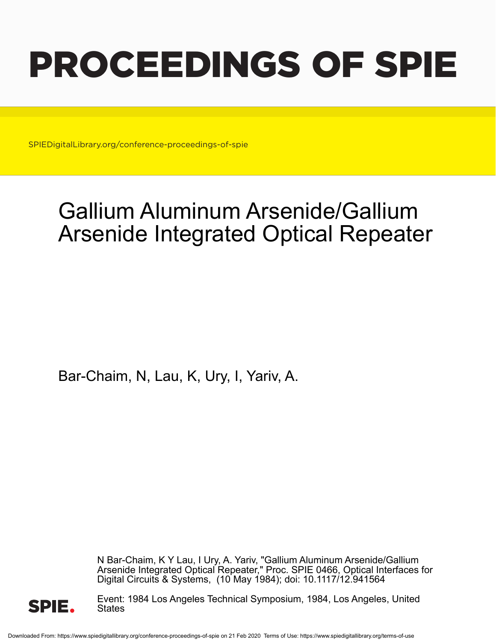# PROCEEDINGS OF SPIE

SPIEDigitalLibrary.org/conference-proceedings-of-spie

# Gallium Aluminum Arsenide/Gallium Arsenide Integrated Optical Repeater

Bar-Chaim, N, Lau, K, Ury, I, Yariv, A.

N Bar-Chaim, K Y Lau, I Ury, A. Yariv, "Gallium Aluminum Arsenide/Gallium Arsenide Integrated Optical Repeater," Proc. SPIE 0466, Optical Interfaces for Digital Circuits & Systems, (10 May 1984); doi: 10.1117/12.941564



Event: 1984 Los Angeles Technical Symposium, 1984, Los Angeles, United **States**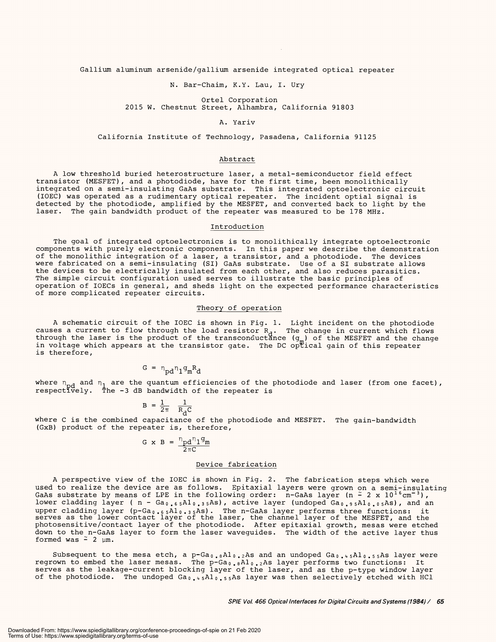Gallium aluminum arsenide /gallium arsenide integrated optical repeater Gallium aluminum arsenide/gallium arsenide integrated optical repeater

N. Bar -Chaim, K.Y. Lau, I. Ury N. Bar-Chaim, K.Y. Lau, I. Ury

Ortel Corporation Ortel Corporation 2015 W. Chestnut Street, Alhambra, California 91803 2015 W. Chestnut Street, Alhambra, California 91803

## A. Yariv A. Yariv

California Institute of Technology, Pasadena, California 91125 California Institute of Technology, Pasadena, California 91125

# Abstract Abstract

A low threshold buried heterostructure laser, a metal - semiconductor field effect A low threshold buried heterostructure laser, a metal-semiconductor field effect transistor (MESFET), and a photodiode, have for the first time, been monolithically transistor (MESFET), and a photodiode, have for the first time, been monolithically integrated on a semi -insulating GaAs substrate. This integrated optoelectronic circuit integrated on a semi-insulating GaAs substrate. This integrated optoelectronic circuit (IOEC) was operated as a rudimentary optical repeater. The incident optial signal is (IOEC) was operated as a rudimentary optical repeater. The incident optial signal is detected by the photodiode, amplified by the MESFET, and converted back to light by the detected by the photodiode, amplified by the MESFET, and converted back to light by the laser. The gain bandwidth product of the repeater was measured to be 178 MHz. laser. The gain bandwidth product of the repeater was measured to be 178 MHz.

# Introduction Introduction

The goal of integrated optoelectronics is to monolithically integrate optoelectronic The goal of integrated optoelectronics is to monolithically integrate optoelectronic components with purely electronic components. In this paper we describe the demonstration components with purely electronic components. In this paper we describe the demonstration of the monolithic integration of a laser, a transistor, and a photodiode. The devices of the monolithic integration of a laser, a transistor, and a photodiode. The devices were fabricated on a semi -insulating (SI) GaAs substrate. Use of a SI substrate allows were fabricated on a semi-insulating (SI) GaAs substrate. Use of a SI substrate allows the devices to be electrically insulated from each other, and also reduces parasitics. the devices to be electrically insulated from each other, and also reduces parasitics. The simple circuit configuration used serves to illustrate the basic principles of The simple circuit configuration used serves to illustrate the basic principles of operation of IOECs in general, and sheds light on the expected performance characteristics operation of lOECs in general, and sheds light on the expected performance characteristics of more complicated repeater circuits. of more complicated repeater circuits.

## Theory of operation Theory of operation

A schematic circuit of the IOEC is shown in Fig. 1. Light incident on the photodiode <sup>A</sup>schematic circuit of the IOEC is shown in Fig. 1. Light incident on the photodiode causes a current to flow through the load resistor  $R_{\mathcal{A}}$ . The change in current which flows through the laser is the product of the transconductance  $(\mathsf{g}_{_\mathsf{m}})$  of the MESFET and the change in voltage which appears at the transistor gate. The DC op $\rm\ddot{t}$ ical gain of this repeater is therefore, is therefore, causes a current to flow through the load resistor  $R_A$ . The change in current which flows through the laser is the product of the transconductănce (g\_) of the MESFET and the change in voltage which appears at the transistor gate. The DC optical gain of this repeater

$$
G = n_{\rm pd} n_1 g_m R_d
$$

where  $\eta_{\alpha A}$  and  $\eta_{1}$  are the quantum efficiencies of the photodiode and laser (from one facet), respectively. The -3 dB bandwidth of the repeater is where  $n_{\alpha A}$  and  $n_{\alpha}$  are the quantum efficiencies of the photodiode and laser (from one facet), respectively. The -3 dB bandwidth of the repeater is

$$
B = \frac{1}{2\pi} \frac{1}{R_d C}
$$

where C is the combined capacitance of the photodiode and MESFET. The gain-bandwidth (GxB) product of the repeater is, therefore, (GxB) product of the repeater is, therefore,

$$
G \times B = \frac{n_{\text{pd}} n_1 g_{\text{m}}}{2 \pi C}
$$

# Device fabrication Device fabrication

A perspective view of the IOEC is shown in Fig. 2. The fabrication steps which were <sup>A</sup>perspective view of the IOEC is shown in Fig. 2. The fabrication steps which were used to realize the device are as follows. Epitaxial layers were grown on a semi -insulating used to realize the device are as follows. Epitaxial layers were grown on a semi-insulating GaAs substrate by means of LPE in the following order: n-GaAs layer (n  $\widetilde{\text{ - }}$  2  $\text{x}$  10 $^{1.6}$ cm $^{-3})$ ,  $^{-1}$ lower cladding layer ( n - Ga $_{0.65}$ Al $_{0.35}$ As), active layer (undoped Ga $_{0.95}$ Al $_{0.05}$ As), and an upper cladding layer (p-Ga<sub>0.65</sub>Al<sub>0.35</sub>As). The n-GaAs layer performs three functions: it<br>serves as the lower contact layer of the laser, the channel layer of the MESFET, and the photosensitive /contact layer of the photodiode. After epitaxial growth, mesas were etched down to the n -GaAs layer to form the laser waveguides. The width of the active layer thus down to the n-GaAs layer to form the laser waveguides. The width of the active layer thus formed was  $\tilde{-}$  2  $\mu$ m. upper cladding layer (p-Ga $_{\tt 0.65}$ Al $_{\tt 0.35}$ As). The n-GaAs layer performs three functions: it<br>serves as the lower contact layer of the laser, the channel layer of the MESFET, and the photosensitive/contact layer of the photodiode. After epitaxial growth,, mesas were etched

Subsequent to the mesa etch, a  $p-\text{Ga}$  .eAl $_0$  . $_2$ As and an undoped Ga $_0$  ... $_5$ Al $_0$  . $_5$ s as layer were regrown to embed the laser mesas. The p-Ga $_{0}$ . $_{8}$ Al $_{0}$ . $_{2}$ As layer performs two functions: It serves as the leakage-current blocking layer of the laser, and as the p-type window layer of the photodiode. The undoped Ga $_{\tt 0.45}$ Al $_{\tt 0.55}$ As layer was then selectively etched with HCl serves as the leakage-current blocking layer of the laser, and as the p-type window layer of the photodiode. The undoped Ga $_{\tt 0}$   $_{\tt + 5}$ Al $_{\tt 0}$   $_{\tt - 5}$  sAs layer was then selectively etched with HCl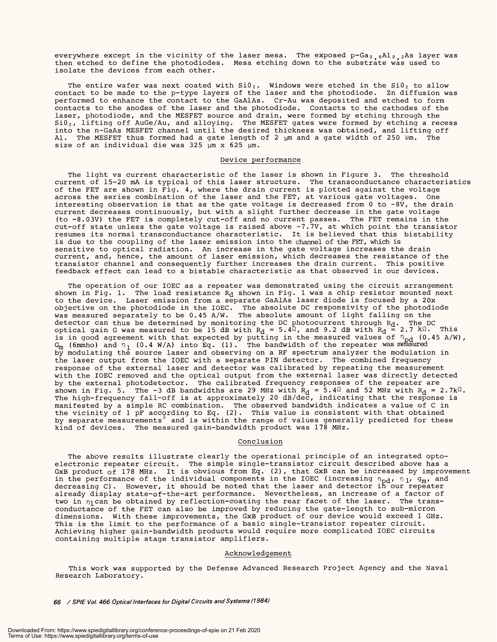everywhere except in the vicinity of the laser mesa. The exposed p-Ga<sub>0.0</sub>Al<sub>0.2</sub>As layer was then etched to define the photodiodes. Mesa etching down to the substrate was used to then etched to define the photodiodes. Mesa etching down to the substrate was used to isolate the devices from each other. isolate the devices from each other.

The entire wafer was next coated with Si $0_{\,2}$ . Windows were etched in the Si $0_{\,2}$  to allow contact to be made to the p -type layers of the laser and the photodiode. Zn diffusion was contact to be made to the p-type layers of the laser and the photodiode. Zn diffusion was performed to enhance the contact to the GaAlAs. Cr -Au was deposited and etched to form performed to enhance the contact to the GaAlAs. Cr-Au was deposited and etched to form contacts to the anodes of the laser and the photodiode. Contacts to the cathodes of the contacts to the anodes of the laser and the photodiode. Contacts to the cathodes of the laser, photodiode, and the MESFET source and drain, were formed by etching through the Si $0_{\,2}$ , lifting off AuGe/Au, and alloying. The MESFET gates were formed by etching a recess into the n-GaAs MESFET channel until the desired thickness was obtained, and lifting off Al. The MESFET thus formed had a gate length of 2 pm and a gate width of 250 Um. The size of an individual die was 325 pm x 625 pm. size of an individual die was 325 ym x 625 ym. laser, photodiode, and the MESFET source and drain, were formed by etching through the Si $0_{\,2}$ , lifting off AuGe/Au, and alloying. The MESFET gates were formed by etching a recess into the n-GaAs MESFET channel until the desired thickness was obtained, and lifting off Al. The MESFET thus formed had a gate length of 2 ym and a gate width of 250 ym. The

## Device performance Device performance

The light vs current characteristic of the laser is shown in Figure 3. The threshold The light vs current characteristic of the laser is shown in Figure 3. The threshold current of 15 -20 mA is typical of this laser structure. The transconductance characteristics current of 15-20 mA is typical of this laser structure. The transconductance characteristics of the FET are shown in Fig. 4, where the drain current is plotted against the voltage of the FET are shown in Fig. 4, where the drain current is plotted against the voltage across the series combination of the laser and the FET, at various gate voltages. One across the series combination of the laser and the FET, at various gate voltages. One interesting observation is that as the gate voltage is decreased from 0 to -8V, the drain interesting observation is that as the gate voltage is decreased from 0 to -8V, the drain current decreases continuously, but with a slight further decrease in the gate voltage current decreases continuously, but with a slight further decrease in the gate voltage (to -8.03V) the FET is completely cut -off and no current passes. The FET remains in the cut -off state unless the gate voltage is raised above -7.7V, at which point the transistor resumes its normal transconductance characteristic. It is believed that this bistability resumes its normal transconductance characteristic. It is believed that this bistability is due to the coupling of the laser emission into the channel of the FET, which is sensitive to optical radiation. An increase in the gate voltage increases the drain sensitive to optical radiation. An increase in the gate voltage increases the drain current, and, hence, the amount of laser emission, which decreases the resistance of the current, and, hence, the amount of laser emission, which decreases the resistance of the transistor channel and consequently further increases the drain current. This positive transistor channel and consequently further increases the drain current. This positive feedback effect can lead to a bistable characteristic as that observed in our devices. feedback effect can lead to a bistable characteristic as that observed in our devices. (to -8.03V) the FET is completely cut-off and no current passes. The FET remains in the cut-off state unless the gate voltage is raised above -7.7V, at which point the transistor

The operation of our IOEC as a repeater was demonstrated using the circuit arrangement The operation of our IOEC as <sup>a</sup>repeater was demonstrated using the circuit arrangement shown in Fig. 1. The load resistance  $\mathtt{R}_{\mathbf{d}}$  shown in Fig. 1 was a chip resistor mounted next to the device. Laser emission from a separate GaAlAs laser diode is focused by a 20x to the device. Laser emission from a separate GaAlAs laser diode is focused by a 20x objective on the photodiode in the IOEC. The absolute DC responsivity of the photodiode was measured separately to be 0.45 A/W. The absolute amount of light falling on the detector can thus be determined by monitoring the DC photocurrent through R<sub>d</sub>. The DC \_ . optical gain G was measured to be 15 dB with  $R_{\rm d}$  = 5.4 $\Omega$ , and 9.2 dB with  $R_{\rm d}$  = 2.7 k $\Omega$ . This is in good agreement with that expected by putting in the measured values of  $n_{\rm pd}$  (0.45 A/W), G<sub>m</sub> (6mmho) and  $\overline{\text{n}}_1$  (0.4 W/A) into Eq. (1). The bandwidth of the repeater was measured by modulating the source laser and observing on a RF spectrum analyzer the modulation in by modulating the source laser and observing on a RF spectrum analyzer the modulation in the laser output from the IOEC with a separate PIN detector. The combined frequency response of the external laser and detector was calibrated by repeating the measurement with the IOEC removed and the optical output from the external laser was directly detected with the IOEC removed and the optical output from the external laser was directly detected by the external photodetector. The calibrated frequency responses of the repeater are by the external photodetector. The calibrated frequency responses of the repeater are shown in Fig. 5. The -3 dB bandwidths are 29 MHz with R<sub>d</sub> = 5.4 $\Omega$  and 52 MHz with R<sub>d</sub> = 2.7k $\Omega$ . The high- frequency fall -off is at approximately 20 dB /dec, indicating that the response is manifested by a simple RC combination. The observed bandwidth indicates a value of C in the vicinity of 1 pF according to Eq. (2). This value is consistent with that obtained by separate measurements $^{\angle}$  and is within the range of values generally predicted for these kind of devices. The measured gain- bandwidth product was 178 MHz. objective on the photodiode in the IOEC. The absolute DC responsivity of the photodiode was measured separately to be 0.45 A/W. The absolute amount of light falling on the detector can thus be determined by monitoring the DC photocurrent through  $R_d$ . The DC optical gain G was measured to be 15 dB with R<sub>d</sub> = 5.4 $\Omega$ , and 9.2 dB with R<sub>d</sub> = 2.7 k $\Omega$ . This is in good agreement with that expected by putting in the measured values of  $\rm n_{\rm nd}$  (0.45 A/W), G<sub>m</sub> (6mmho) and  $\eta$  (0.4 W/A) into Eq. (1). The bandwidth of the repeater was measured the laser output from the IOEC with a separate PIN detector. The combined frequency response of the external laser and detector was calibrated by repeating the measurement shown in Fig. 5. The -3 dB bandwidths are 29 MHz with R<sub>d</sub> = 5.4 $\Omega$  and 52 MHz with R<sub>d</sub> = The high-frequency fall-off is at approximately 20 dB/dec, indicating that the response is manifested by a simple RC combination. The observed bandwidth indicates a value of C in the vicinity of 1 pF according to Eq. (2). This value is consistent with that obtained by separate measurements $^{\circ}$  and is within the range of values generally predicted for these kind of devices. The measured gain-bandwidth product was 178 MHz.

## Conclusion Conclusion

The above results illustrate clearly the operational principle of an integrated opto-The above results illustrate clearly the operational principle of an integrated optoelectronic repeater circuit. The simple single- transistor circuit described above has a electronic repeater circuit. The simple single-transistor circuit described above has <sup>a</sup> GxB product of 178 MHz. It is obvious from Eq. (2), that GxB can be increased by improvement in the performance of the individual components in the IOEC (increasing  $n_{\textbf{Dd}}$ ,  $n_{1\prime}$  g<sub>m</sub>, and decreasing C). However, it should be noted that the laser and detector if' our repeater already display state -of- the -art performance. Nevertheless, an increase of a factor of already display state-of-the-art performance. Nevertheless, an increase of a factor of two in  $\eta_1$ can be obtained by reflection-coating the rear facet of the laser. The transconductance of the FET can also be improved by reducing the gate - length to sub -micron conductance of the FET can also be improved by reducing the gate-length to sub-micron dimensions. With these improvements, the GxB product of our device would exceed 1 GHz. dimensions. With these improvements, the GxB product of our device would exceed 1 GHz. This is the limit to the performance of a basic single- transistor repeater circuit. This is the limit to the performance of a basic single-transistor repeater circuit. Achieving higher gain- bandwidth products would require more complicated IOEC circuits Achieving higher gain-bandwidth products would require more complicated IOEC circuits containing multiple stage transistor amplifiers. containing multiple stage transistor amplifiers. GxB product of 178 MHz. It is obvious from Eq. (2), that GxB can be increased by improvement in the performance of the individual components in the IOEC (increasing  $n_{\text{nd}}$ ,  $n_{1}$ ,  $g_{\text{m}}$ , and decreasing C). However, it should be noted that the laser and detector in our repeater

## Acknowledgement Acknowledgement

This work was supported by the Defense Advanced Research Project Agency and the Naval This work was supported by the Defense Advanced Research Project Agency and the Naval Research Laboratory. Research Laboratory.

66 / SPIE Vol. 466 Optical Interfaces for Digital Circuits and Systems (1984)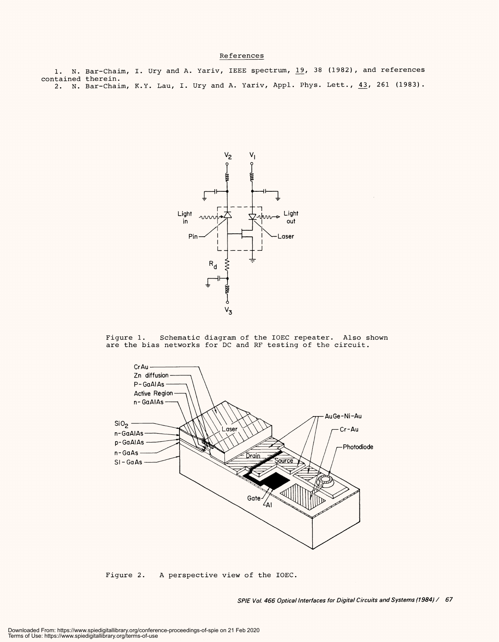# References References

1. N. Bar -Chaim, I. Ury and A. Yariv, IEEE spectrum, 19, 38 (1982), and references 1. N. Bar-Chaim, I. Ury and A. Yariv, IEEE spectrum, 19, 38 (1982), and references contained therein. contained therein. 2. N. Bar-Chaim, K.Y. Lau, I. Ury and A. Yariv, Appl. Phys. Lett., <u>43</u>, 261 (1983).



Figure 1. Schematic diagram of the IOEC repeater. Also shown Figure 1. Schematic diagram of the IOEC repeater. Also shown are the bias networks for DC and RF testing of the circuit. are the bias networks for DC and RF testing of the circuit.



Figure 2. A perspective view of the IOEC. Figure 2. A perspective view of the IOEC.

SPIE Vol. 466 Optical Interfaces for Digital Circuits and Systems (1984) / 67